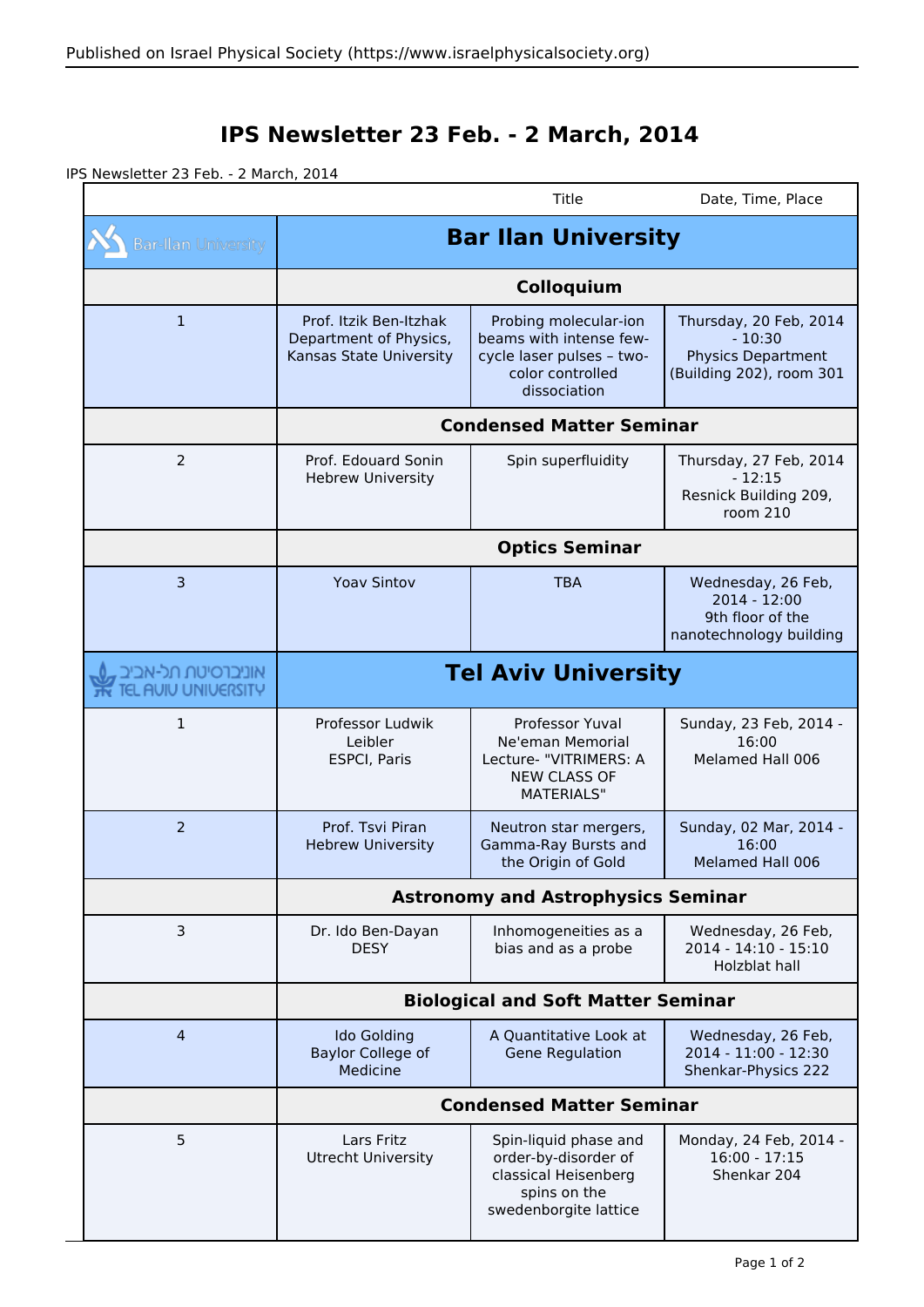## **IPS Newsletter 23 Feb. - 2 March, 2014**

IPS Newsletter 23 Feb. - 2 March, 2014

|                                              |                                                                             | Title                                                                                                             | Date, Time, Place                                                                           |
|----------------------------------------------|-----------------------------------------------------------------------------|-------------------------------------------------------------------------------------------------------------------|---------------------------------------------------------------------------------------------|
| <b>Bar-Ilan University</b>                   | <b>Bar Ilan University</b>                                                  |                                                                                                                   |                                                                                             |
|                                              | Colloquium                                                                  |                                                                                                                   |                                                                                             |
| $\mathbf{1}$                                 | Prof. Itzik Ben-Itzhak<br>Department of Physics,<br>Kansas State University | Probing molecular-ion<br>beams with intense few-<br>cycle laser pulses - two-<br>color controlled<br>dissociation | Thursday, 20 Feb, 2014<br>$-10:30$<br><b>Physics Department</b><br>(Building 202), room 301 |
|                                              | <b>Condensed Matter Seminar</b>                                             |                                                                                                                   |                                                                                             |
| 2                                            | Prof. Edouard Sonin<br><b>Hebrew University</b>                             | Spin superfluidity                                                                                                | Thursday, 27 Feb, 2014<br>$-12:15$<br>Resnick Building 209,<br>room 210                     |
|                                              | <b>Optics Seminar</b>                                                       |                                                                                                                   |                                                                                             |
| 3                                            | <b>Yoav Sintov</b>                                                          | <b>TBA</b>                                                                                                        | Wednesday, 26 Feb,<br>$2014 - 12:00$<br>9th floor of the<br>nanotechnology building         |
| אוניברסיטת תל-אביב<br><b>AUIU UNIVERSITY</b> | <b>Tel Aviv University</b>                                                  |                                                                                                                   |                                                                                             |
| $\mathbf{1}$                                 | Professor Ludwik<br>Leibler<br><b>ESPCI, Paris</b>                          | Professor Yuval<br>Ne'eman Memorial<br>Lecture- "VITRIMERS: A<br><b>NEW CLASS OF</b><br><b>MATERIALS"</b>         | Sunday, 23 Feb, 2014 -<br>16:00<br>Melamed Hall 006                                         |
| 2                                            | Prof. Tsvi Piran<br><b>Hebrew University</b>                                | Neutron star mergers,<br>Gamma-Ray Bursts and<br>the Origin of Gold                                               | Sunday, 02 Mar, 2014 -<br>16:00<br>Melamed Hall 006                                         |
|                                              | <b>Astronomy and Astrophysics Seminar</b>                                   |                                                                                                                   |                                                                                             |
| 3                                            | Dr. Ido Ben-Dayan<br><b>DESY</b>                                            | Inhomogeneities as a<br>bias and as a probe                                                                       | Wednesday, 26 Feb,<br>2014 - 14:10 - 15:10<br>Holzblat hall                                 |
|                                              | <b>Biological and Soft Matter Seminar</b>                                   |                                                                                                                   |                                                                                             |
| $\overline{4}$                               | <b>Ido Golding</b><br><b>Baylor College of</b><br>Medicine                  | A Quantitative Look at<br><b>Gene Regulation</b>                                                                  | Wednesday, 26 Feb,<br>2014 - 11:00 - 12:30<br>Shenkar-Physics 222                           |
|                                              | <b>Condensed Matter Seminar</b>                                             |                                                                                                                   |                                                                                             |
| 5                                            | Lars Fritz<br><b>Utrecht University</b>                                     | Spin-liquid phase and<br>order-by-disorder of<br>classical Heisenberg<br>spins on the<br>swedenborgite lattice    | Monday, 24 Feb, 2014 -<br>$16:00 - 17:15$<br>Shenkar 204                                    |